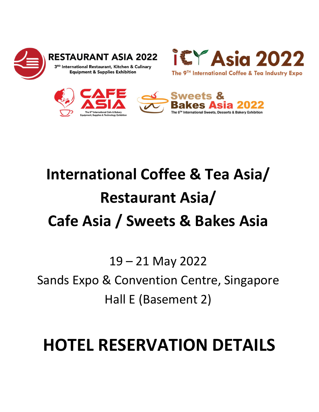

**RESTAURANT ASIA 2022** 

3RD International Restaurant, Kitchen & Culinary **Equipment & Supplies Exhibition** 





## International Coffee & Tea Asia/ Restaurant Asia/ Cafe Asia / Sweets & Bakes Asia

19 – 21 May 2022

Sands Expo & Convention Centre, Singapore Hall E (Basement 2)

## HOTEL RESERVATION DETAILS